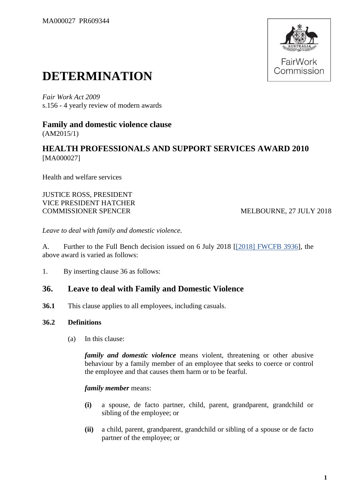

# **DETERMINATION**

*Fair Work Act 2009*  s.156 - 4 yearly review of modern awards

**Family and domestic violence clause** (AM2015/1)

**HEALTH PROFESSIONALS AND SUPPORT SERVICES AWARD 2010** [MA000027]

Health and welfare services

JUSTICE ROSS, PRESIDENT VICE PRESIDENT HATCHER COMMISSIONER SPENCER MELBOURNE, 27 JULY 2018

*Leave to deal with family and domestic violence.*

A. Further to the Full Bench decision issued on 6 July 2018 [\[\[2018\] FWCFB 3936\]](https://www.fwc.gov.au/documents/decisionssigned/html/2018fwcfb3936.htm), the above award is varied as follows:

1. By inserting clause 36 as follows:

## **36. Leave to deal with Family and Domestic Violence**

**36.1** This clause applies to all employees, including casuals.

## **36.2 Definitions**

(a) In this clause:

*family and domestic violence* means violent, threatening or other abusive behaviour by a family member of an employee that seeks to coerce or control the employee and that causes them harm or to be fearful.

## *family member* means:

- **(i)** a spouse, de facto partner, child, parent, grandparent, grandchild or sibling of the employee; or
- **(ii)** a child, parent, grandparent, grandchild or sibling of a spouse or de facto partner of the employee; or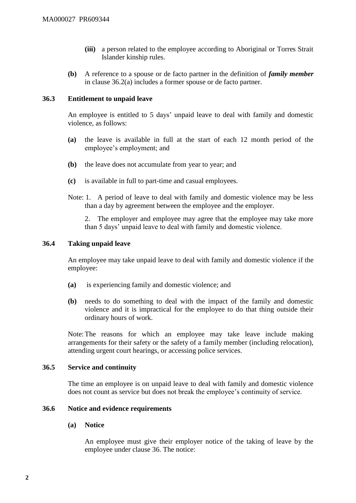- **(iii)** a person related to the employee according to Aboriginal or Torres Strait Islander kinship rules.
- **(b)** A reference to a spouse or de facto partner in the definition of *family member* in clause 36.2(a) includes a former spouse or de facto partner.

## **36.3 Entitlement to unpaid leave**

An employee is entitled to 5 days' unpaid leave to deal with family and domestic violence, as follows:

- **(a)** the leave is available in full at the start of each 12 month period of the employee's employment; and
- **(b)** the leave does not accumulate from year to year; and
- **(c)** is available in full to part-time and casual employees.
- Note: 1. A period of leave to deal with family and domestic violence may be less than a day by agreement between the employee and the employer.

2. The employer and employee may agree that the employee may take more than 5 days' unpaid leave to deal with family and domestic violence.

## **36.4 Taking unpaid leave**

An employee may take unpaid leave to deal with family and domestic violence if the employee:

- **(a)** is experiencing family and domestic violence; and
- **(b)** needs to do something to deal with the impact of the family and domestic violence and it is impractical for the employee to do that thing outside their ordinary hours of work.

Note:The reasons for which an employee may take leave include making arrangements for their safety or the safety of a family member (including relocation), attending urgent court hearings, or accessing police services.

## **36.5 Service and continuity**

The time an employee is on unpaid leave to deal with family and domestic violence does not count as service but does not break the employee's continuity of service.

## **36.6 Notice and evidence requirements**

## **(a) Notice**

An employee must give their employer notice of the taking of leave by the employee under clause 36. The notice: